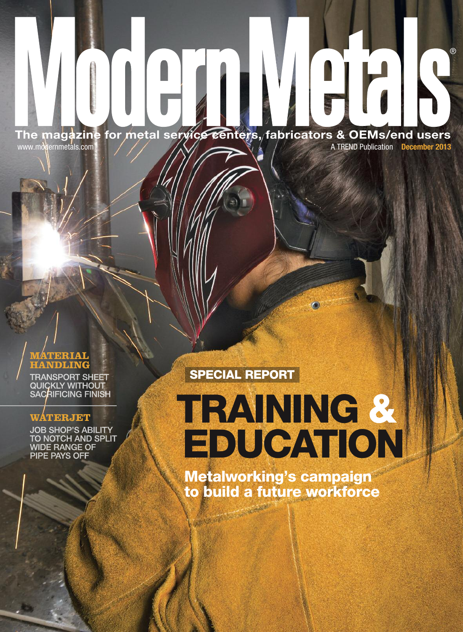**The magazine for metal service centers, fabricators & OEMs/end users** www.modernmetals.com A TREND Publication **December 2013** 

#### **MATERIAL HANDLING**

**TRANSPORT SHEET QUICKLY WITHOUT** 

**PIPE PAYS OFF** 

## **SPECIAL REPORT**

**WATERJET AIRAINING & EDUCATION** ®

**Metalworking's campaign to build a future workforce**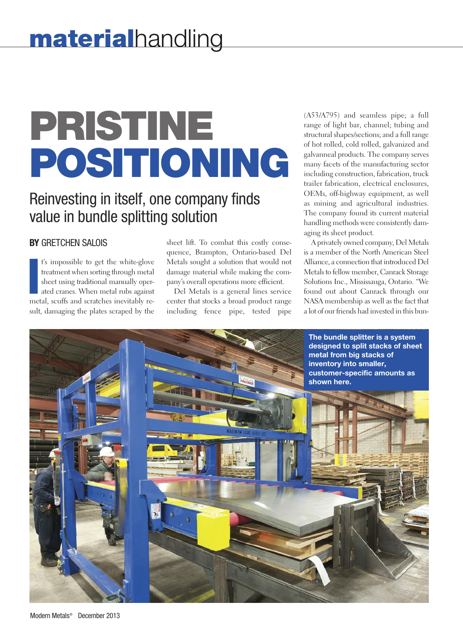# **PRISTINE POSITIONING**

# Reinvesting in itself, one company finds value in bundle splitting solution

### **BY** GRETCHEN SALOIS

Is impossible to get the white-glove<br>treatment when sorting through metal<br>sheet using traditional manually oper-<br>ated cranes. When metal rubs against<br>metal, scuffs and scratches inevitably ret's impossible to get the white-glove treatment when sorting through metal sheet using traditional manually operated cranes. When metal rubs against sult, damaging the plates scraped by the sheet lift. To combat this costly consequence, Brampton, Ontario-based Del Metals sought a solution that would not damage material while making the company's overall operations more efficient.

Del Metals is a general lines service center that stocks a broad product range including fence pipe, tested pipe

(A53/A795) and seamless pipe; a full range of light bar, channel; tubing and structural shapes/sections; and a full range of hot rolled, cold rolled, galvanized and galvanneal products. The company serves many facets of the manufacturing sector including construction, fabrication, truck trailer fabrication, electrical enclosures, OEMs, off-highway equipment, as well as mining and agricultural industries. The company found its current material handling methods were consistently damaging its sheet product.

A privately owned company, Del Metals is a member of the North American Steel Alliance, a connection that introduced Del Metals to fellow member, Canrack Storage Solutions Inc., Mississauga, Ontario. "We found out about Canrack through our NASA membership as well as the fact that a lot of our friends had invested in this bun-

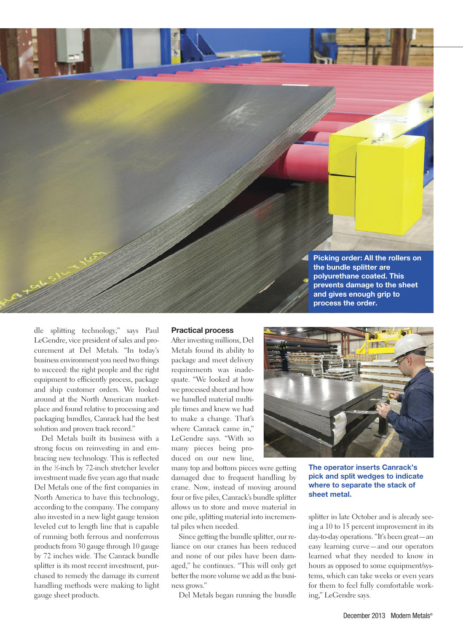

dle splitting technology," says Paul LeGendre, vice president of sales and procurement at Del Metals. "In today's business environment you need two things to succeed: the right people and the right equipment to efficiently process, package and ship customer orders. We looked around at the North American marketplace and found relative to processing and packaging bundles, Canrack had the best solution and proven track record."

Del Metals built its business with a strong focus on reinvesting in and embracing new technology. This is reflected in the <sup>1</sup> ⁄2-inch by 72-inch stretcher leveler investment made five years ago that made Del Metals one of the first companies in North America to have this technology, according to the company. The company also invested in a new light gauge tension leveled cut to length line that is capable of running both ferrous and nonferrous products from 30 gauge through 10 gauge by 72 inches wide. The Canrack bundle splitter is its most recent investment, purchased to remedy the damage its current handling methods were making to light gauge sheet products.

#### **Practical process**

After investing millions, Del Metals found its ability to package and meet delivery requirements was inadequate. "We looked at how we processed sheet and how we handled material multiple times and knew we had to make a change. That's where Canrack came in," LeGendre says. "With so many pieces being produced on our new line,

many top and bottom pieces were getting damaged due to frequent handling by crane. Now, instead of moving around four or five piles, Canrack's bundle splitter allows us to store and move material in one pile, splitting material into incremental piles when needed.

Since getting the bundle splitter, our reliance on our cranes has been reduced and none of our piles have been damaged," he continues. "This will only get better the more volume we add as the business grows."

Del Metals began running the bundle



**The operator inserts Canrack's pick and split wedges to indicate where to separate the stack of sheet metal.**

splitter in late October and is already seeing a 10 to 15 percent improvement in its day-to-day operations. "It's been great—an easy learning curve—and our operators learned what they needed to know in hours as opposed to some equipment/systems, which can take weeks or even years for them to feel fully comfortable working," LeGendre says.